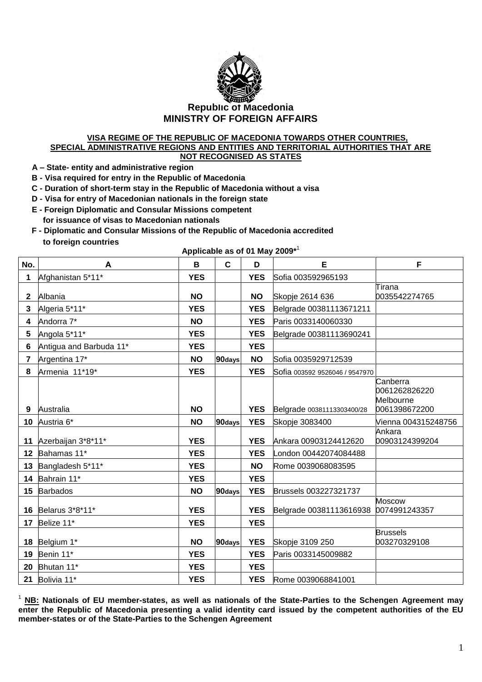

## **VISA REGIME OF THE REPUBLIC OF MACEDONIA TOWARDS OTHER COUNTRIES, SPECIAL ADMINISTRATIVE REGIONS AND ENTITIES AND TERRITORIAL AUTHORITIES THAT ARE NOT RECOGNISED AS STATES**

 **A – State- entity and administrative region**

 **B - Visa required for entry in the Republic of Macedonia** 

 **C - Duration of short-term stay in the Republic of Macedonia without a visa**

- **D - Visa for entry of Macedonian nationals in the foreign state**
- **E - Foreign Diplomatic and Consular Missions competent for issuance of visas to Macedonian nationals**
- **F - Diplomatic and Consular Missions of the Republic of Macedonia accredited to foreign countries**

**Applicable as of 01 May 2009\*** 1

| No.            | A                       | B          | $\mathbf{C}$ | D          | E                              | F                                                       |
|----------------|-------------------------|------------|--------------|------------|--------------------------------|---------------------------------------------------------|
| 1              | Afghanistan 5*11*       | <b>YES</b> |              | <b>YES</b> | Sofia 003592965193             |                                                         |
| $\mathbf 2$    | Albania                 | <b>NO</b>  |              | <b>NO</b>  | Skopje 2614 636                | Tirana<br>0035542274765                                 |
| 3              | Algeria 5*11*           | <b>YES</b> |              | <b>YES</b> | Belgrade 00381113671211        |                                                         |
| 4              | Andorra 7*              | <b>NO</b>  |              | <b>YES</b> | Paris 0033140060330            |                                                         |
| 5              | Angola 5*11*            | <b>YES</b> |              | <b>YES</b> | Belgrade 00381113690241        |                                                         |
| 6              | Antigua and Barbuda 11* | <b>YES</b> |              | <b>YES</b> |                                |                                                         |
| $\overline{7}$ | Argentina 17*           | <b>NO</b>  | 90days       | <b>NO</b>  | Sofia 0035929712539            |                                                         |
| 8              | Armenia 11*19*          | <b>YES</b> |              | <b>YES</b> | Sofia 003592 9526046 / 9547970 |                                                         |
| 9              | Australia               | <b>NO</b>  |              | <b>YES</b> | Belgrade 00381113303400/28     | Canberra<br>0061262826220<br>Melbourne<br>0061398672200 |
|                | 10 Austria 6*           | <b>NO</b>  | 90days       | <b>YES</b> | Skopje 3083400                 | Vienna 004315248756                                     |
|                | 11 Azerbaijan 3*8*11*   | <b>YES</b> |              | <b>YES</b> | Ankara 00903124412620          | Ankara<br>00903124399204                                |
|                | 12 Bahamas 11*          | <b>YES</b> |              | <b>YES</b> | London 00442074084488          |                                                         |
|                | 13 Bangladesh 5*11*     | <b>YES</b> |              | <b>NO</b>  | Rome 0039068083595             |                                                         |
|                | 14 Bahrain 11*          | <b>YES</b> |              | <b>YES</b> |                                |                                                         |
|                | 15 Barbados             | <b>NO</b>  | 90days       | <b>YES</b> | Brussels 003227321737          |                                                         |
|                | 16 Belarus 3*8*11*      | <b>YES</b> |              | <b>YES</b> | Belgrade 00381113616938        | <b>Moscow</b><br>0074991243357                          |
|                | 17 Belize 11*           | <b>YES</b> |              | <b>YES</b> |                                |                                                         |
|                | 18 Belgium 1*           | <b>NO</b>  | 90days       | <b>YES</b> | Skopje 3109 250                | <b>Brussels</b><br>003270329108                         |
| 19             | Benin 11*               | <b>YES</b> |              | <b>YES</b> | Paris 0033145009882            |                                                         |
|                | 20 Bhutan 11*           | <b>YES</b> |              | <b>YES</b> |                                |                                                         |
|                | 21 Bolivia 11*          | <b>YES</b> |              | <b>YES</b> | Rome 0039068841001             |                                                         |

<sup>1</sup> **NB: Nationals of EU member-states, as well as nationals of the State-Parties to the Schengen Agreement may enter the Republic of Macedonia presenting a valid identity card issued by the competent authorities of the EU member-states or of the State-Parties to the Schengen Agreement**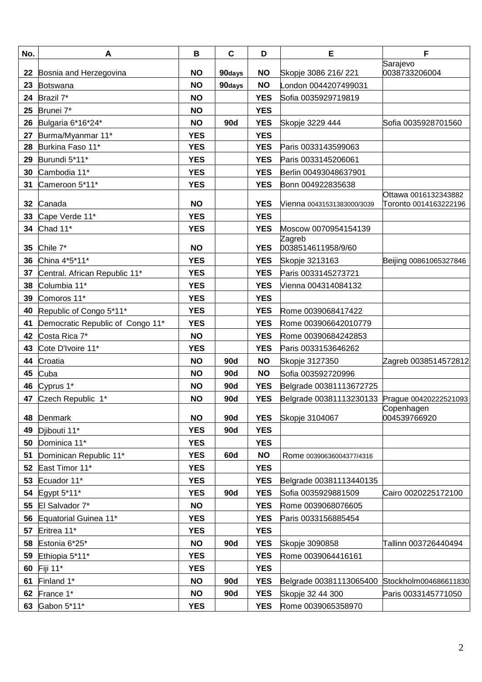| No. | A                                | B          | $\mathbf c$ | D          | E                                             | F                         |
|-----|----------------------------------|------------|-------------|------------|-----------------------------------------------|---------------------------|
| 22  | Bosnia and Herzegovina           | <b>NO</b>  | 90days      | <b>NO</b>  | Skopje 3086 216/221                           | Sarajevo<br>0038733206004 |
| 23  | Botswana                         | <b>NO</b>  | 90days      | <b>NO</b>  | _ondon 0044207499031                          |                           |
| 24  | Brazil 7*                        | <b>NO</b>  |             | <b>YES</b> | Sofia 0035929719819                           |                           |
| 25  | Brunei 7*                        | <b>NO</b>  |             | <b>YES</b> |                                               |                           |
| 26  | Bulgaria 6*16*24*                | <b>NO</b>  | 90d         | <b>YES</b> | Skopje 3229 444                               | Sofia 0035928701560       |
| 27  | Burma/Myanmar 11*                | <b>YES</b> |             | <b>YES</b> |                                               |                           |
| 28  | Burkina Faso 11*                 | <b>YES</b> |             | <b>YES</b> | Paris 0033143599063                           |                           |
| 29  | Burundi 5*11*                    | <b>YES</b> |             | <b>YES</b> | Paris 0033145206061                           |                           |
| 30  | Cambodia 11*                     | <b>YES</b> |             | <b>YES</b> | Berlin 00493048637901                         |                           |
| 31  | Cameroon 5*11*                   | <b>YES</b> |             | <b>YES</b> | Bonn 004922835638                             |                           |
|     |                                  |            |             |            |                                               | Ottawa 0016132343882      |
| 32  | Canada                           | <b>NO</b>  |             | <b>YES</b> | Vienna 00431531383000/3039                    | Toronto 0014163222196     |
| 33  | Cape Verde 11*                   | <b>YES</b> |             | <b>YES</b> |                                               |                           |
| 34  | Chad 11*                         | <b>YES</b> |             | <b>YES</b> | Moscow 0070954154139                          |                           |
| 35  | Chile 7*                         | <b>NO</b>  |             | <b>YES</b> | Zagreb<br>0038514611958/9/60                  |                           |
| 36  | China 4*5*11*                    | <b>YES</b> |             | <b>YES</b> | Skopje 3213163                                | Beijing 00861065327846    |
| 37  | Central. African Republic 11*    | <b>YES</b> |             | <b>YES</b> | Paris 0033145273721                           |                           |
| 38  | Columbia 11*                     | <b>YES</b> |             | <b>YES</b> | Vienna 004314084132                           |                           |
| 39  | Comoros 11*                      | <b>YES</b> |             | <b>YES</b> |                                               |                           |
| 40  | Republic of Congo 5*11*          | <b>YES</b> |             | <b>YES</b> | Rome 0039068417422                            |                           |
| 41  | Democratic Republic of Congo 11* | <b>YES</b> |             | <b>YES</b> | Rome 003906642010779                          |                           |
| 42  | Costa Rica 7*                    | <b>NO</b>  |             | <b>YES</b> | Rome 00390684242853                           |                           |
| 43  | Cote D'Ivoire 11*                | <b>YES</b> |             | <b>YES</b> | Paris 0033153646262                           |                           |
| 44  | Croatia                          | <b>NO</b>  | 90d         | <b>NO</b>  | Skopje 3127350                                | Zagreb 0038514572812      |
| 45  | Cuba                             | <b>NO</b>  | <b>90d</b>  | <b>NO</b>  | Sofia 003592720996                            |                           |
| 46  | Cyprus 1*                        | <b>NO</b>  | 90d         | <b>YES</b> | Belgrade 00381113672725                       |                           |
| 47  | Czech Republic 1*                | <b>NO</b>  | <b>90d</b>  | <b>YES</b> | Belgrade 00381113230133 Prague 00420222521093 |                           |
|     |                                  |            |             |            |                                               | Copenhagen                |
| 48  | Denmark                          | <b>NO</b>  | <b>90d</b>  | <b>YES</b> | <b>Skopje 3104067</b>                         | 004539766920              |
| 49  | Djibouti 11*                     | <b>YES</b> | <b>90d</b>  | <b>YES</b> |                                               |                           |
| 50  | Dominica 11*                     | <b>YES</b> |             | <b>YES</b> |                                               |                           |
| 51  | Dominican Republic 11*           | <b>YES</b> | 60d         | <b>NO</b>  | Rome 00390636004377/4316                      |                           |
| 52  | East Timor 11*                   | <b>YES</b> |             | <b>YES</b> |                                               |                           |
| 53  | Ecuador 11*                      | <b>YES</b> |             | <b>YES</b> | Belgrade 00381113440135                       |                           |
| 54  | Egypt 5*11*                      | <b>YES</b> | <b>90d</b>  | <b>YES</b> | Sofia 0035929881509                           | Cairo 0020225172100       |
| 55  | El Salvador 7*                   | <b>NO</b>  |             | <b>YES</b> | Rome 0039068076605                            |                           |
| 56  | Equatorial Guinea 11*            | <b>YES</b> |             | <b>YES</b> | Paris 0033156885454                           |                           |
| 57  | Eritrea 11*                      | <b>YES</b> |             | <b>YES</b> |                                               |                           |
| 58  | Estonia 6*25*                    | <b>NO</b>  | <b>90d</b>  | <b>YES</b> | Skopje 3090858                                | Tallinn 003726440494      |
| 59  | Ethiopia 5*11*                   | <b>YES</b> |             | <b>YES</b> | Rome 0039064416161                            |                           |
| 60  | Fiji 11*                         | <b>YES</b> |             | <b>YES</b> |                                               |                           |
| 61  | Finland 1*                       | <b>NO</b>  | <b>90d</b>  | <b>YES</b> | Belgrade 00381113065400                       | Stockholm004686611830     |
| 62  | France 1*                        | <b>NO</b>  | <b>90d</b>  | <b>YES</b> | Skopje 32 44 300                              | Paris 0033145771050       |
| 63  | Gabon 5*11*                      | <b>YES</b> |             | <b>YES</b> | Rome 0039065358970                            |                           |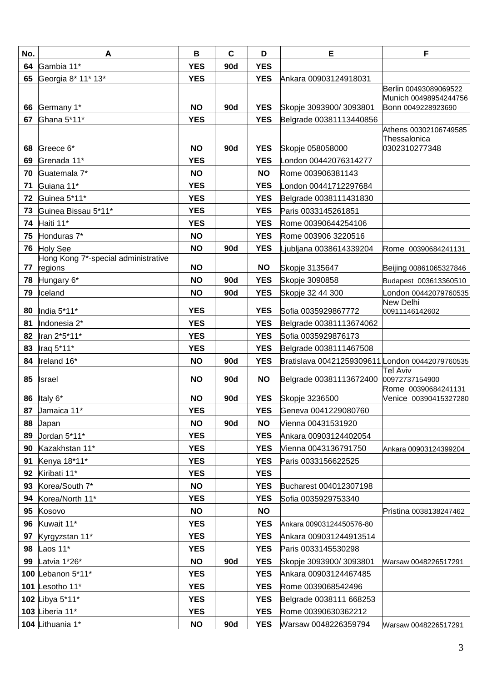| No. | A                                                 | B          | $\mathbf c$ | D          | E                                               | F                                           |
|-----|---------------------------------------------------|------------|-------------|------------|-------------------------------------------------|---------------------------------------------|
| 64  | Gambia 11*                                        | <b>YES</b> | 90d         | <b>YES</b> |                                                 |                                             |
| 65  | Georgia 8* 11* 13*                                | <b>YES</b> |             | <b>YES</b> | Ankara 00903124918031                           |                                             |
|     |                                                   |            |             |            |                                                 | Berlin 00493089069522                       |
| 66  | Germany 1*                                        | <b>NO</b>  | <b>90d</b>  | <b>YES</b> | Skopje 3093900/3093801                          | Munich 00498954244756<br>Bonn 0049228923690 |
| 67  | Ghana 5*11*                                       | <b>YES</b> |             | <b>YES</b> | Belgrade 00381113440856                         |                                             |
|     |                                                   |            |             |            |                                                 | Athens 00302106749585                       |
|     |                                                   |            |             |            |                                                 | Thessalonica                                |
|     | 68 Greece 6*                                      | <b>NO</b>  | 90d         | <b>YES</b> | Skopje 058058000                                | 0302310277348                               |
| 69  | Grenada 11*                                       | <b>YES</b> |             | <b>YES</b> | _ondon 00442076314277                           |                                             |
| 70  | Guatemala 7*                                      | <b>NO</b>  |             | <b>NO</b>  | Rome 003906381143                               |                                             |
| 71  | Guiana 11*                                        | <b>YES</b> |             | <b>YES</b> | _ondon 00441712297684                           |                                             |
| 72  | Guinea 5*11*                                      | <b>YES</b> |             | <b>YES</b> | Belgrade 0038111431830                          |                                             |
| 73  | Guinea Bissau 5*11*                               | <b>YES</b> |             | <b>YES</b> | Paris 0033145261851                             |                                             |
|     | 74 Haiti 11*                                      | <b>YES</b> |             | <b>YES</b> | Rome 00390644254106                             |                                             |
|     | 75 Honduras 7*                                    | <b>NO</b>  |             | <b>YES</b> | Rome 003906 3220516                             |                                             |
|     | 76 Holy See                                       | <b>NO</b>  | 90d         | <b>YES</b> | jubljana 0038614339204.                         | Rome 00390684241131                         |
|     | Hong Kong 7*-special administrative<br>77 regions | <b>NO</b>  |             | <b>NO</b>  | Skopje 3135647                                  | Beijing 00861065327846                      |
|     | 78 Hungary 6*                                     | <b>NO</b>  | 90d         | <b>YES</b> | <b>Skopje 3090858</b>                           | Budapest 003613360510                       |
|     | 79 Iceland                                        | <b>NO</b>  | <b>90d</b>  | <b>YES</b> | Skopje 32 44 300                                | London 00442079760535                       |
|     |                                                   |            |             |            |                                                 | New Delhi                                   |
| 80  | India 5*11*                                       | <b>YES</b> |             | <b>YES</b> | Sofia 0035929867772                             | 00911146142602                              |
| 81  | Indonesia 2*                                      | <b>YES</b> |             | <b>YES</b> | Belgrade 00381113674062                         |                                             |
| 82  | Iran 2*5*11*                                      | <b>YES</b> |             | <b>YES</b> | Sofia 0035929876173                             |                                             |
| 83  | Iraq 5*11*                                        | <b>YES</b> |             | <b>YES</b> | Belgrade 0038111467508                          |                                             |
| 84  | Ireland 16*                                       | <b>NO</b>  | 90d         | <b>YES</b> | Bratislava 00421259309611 London 00442079760535 |                                             |
| 85  | <b>Israel</b>                                     | <b>NO</b>  | 90d         | <b>NO</b>  | Belgrade 00381113672400                         | <b>Tel Aviv</b><br>00972737154900           |
|     |                                                   |            |             |            |                                                 | Rome 00390684241131                         |
|     | 86 Italy 6*                                       | <b>NO</b>  | <b>90d</b>  | <b>YES</b> | Skopje 3236500                                  | Venice 00390415327280                       |
| 87  | Jamaica 11*                                       | <b>YES</b> |             | <b>YES</b> | Geneva 0041229080760                            |                                             |
| 88  | Japan                                             | <b>NO</b>  | <b>90d</b>  | <b>NO</b>  | Vienna 00431531920                              |                                             |
| 89  | Jordan 5*11*                                      | <b>YES</b> |             | <b>YES</b> | Ankara 00903124402054                           |                                             |
| 90  | Kazakhstan 11*                                    | <b>YES</b> |             | <b>YES</b> | Vienna 0043136791750                            | Ankara 00903124399204                       |
| 91  | Kenya 18*11*                                      | <b>YES</b> |             | <b>YES</b> | Paris 0033156622525                             |                                             |
| 92  | Kiribati 11*                                      | <b>YES</b> |             | <b>YES</b> |                                                 |                                             |
| 93  | Korea/South 7*                                    | <b>NO</b>  |             | <b>YES</b> | Bucharest 004012307198                          |                                             |
| 94  | Korea/North 11*                                   | <b>YES</b> |             | <b>YES</b> | Sofia 0035929753340                             |                                             |
| 95  | Kosovo                                            | <b>NO</b>  |             | <b>NO</b>  |                                                 | Pristina 0038138247462                      |
| 96  | Kuwait 11*                                        | <b>YES</b> |             | <b>YES</b> | Ankara 00903124450576-80                        |                                             |
| 97  | Kyrgyzstan 11*                                    | <b>YES</b> |             | <b>YES</b> | Ankara 009031244913514                          |                                             |
| 98  | Laos 11*                                          | <b>YES</b> |             | <b>YES</b> | Paris 0033145530298                             |                                             |
| 99  | Latvia 1*26*                                      | <b>NO</b>  | <b>90d</b>  | YES        | Skopje 3093900/3093801                          | Warsaw 0048226517291                        |
|     | 100 Lebanon 5*11*                                 | <b>YES</b> |             | <b>YES</b> | Ankara 00903124467485                           |                                             |
|     | 101 Lesotho 11*                                   | <b>YES</b> |             | <b>YES</b> | Rome 0039068542496                              |                                             |
|     | 102 Libya 5*11*                                   | <b>YES</b> |             | <b>YES</b> | Belgrade 0038111 668253                         |                                             |
|     | 103 Liberia 11*                                   | <b>YES</b> |             | <b>YES</b> | Rome 00390630362212                             |                                             |
|     | 104 Lithuania 1*                                  | <b>NO</b>  | <b>90d</b>  | <b>YES</b> | Warsaw 0048226359794                            | Warsaw 0048226517291                        |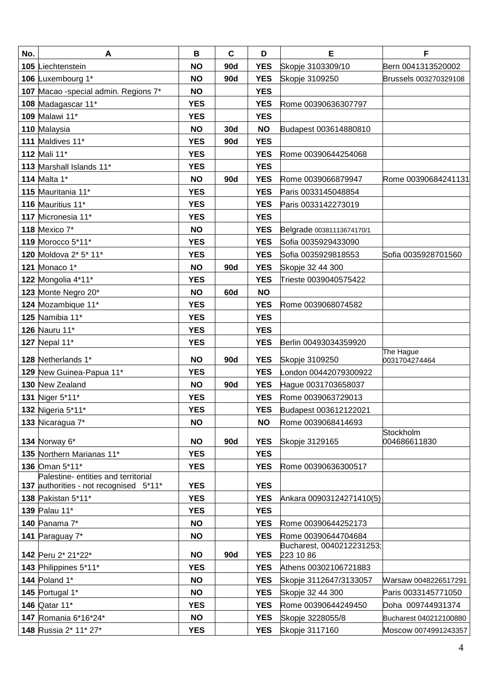| No. | A                                      | B          | $\mathbf c$ | D          | E                                      | F                          |
|-----|----------------------------------------|------------|-------------|------------|----------------------------------------|----------------------------|
|     | 105 Liechtenstein                      | <b>NO</b>  | <b>90d</b>  | <b>YES</b> | Skopje 3103309/10                      | Bern 0041313520002         |
|     | 106 Luxembourg 1*                      | <b>NO</b>  | 90d         | <b>YES</b> | Skopje 3109250                         | Brussels 003270329108      |
|     | 107 Macao -special admin. Regions 7*   | <b>NO</b>  |             | <b>YES</b> |                                        |                            |
|     | 108 Madagascar 11*                     | <b>YES</b> |             | <b>YES</b> | Rome 00390636307797                    |                            |
|     | 109 Malawi 11*                         | <b>YES</b> |             | <b>YES</b> |                                        |                            |
|     | 110 Malaysia                           | <b>NO</b>  | <b>30d</b>  | <b>NO</b>  | Budapest 003614880810                  |                            |
|     | 111 Maldives 11*                       | <b>YES</b> | 90d         | <b>YES</b> |                                        |                            |
|     | 112 Mali 11*                           | <b>YES</b> |             | <b>YES</b> | Rome 00390644254068                    |                            |
|     | 113 Marshall Islands 11*               | <b>YES</b> |             | <b>YES</b> |                                        |                            |
|     | 114 Malta 1*                           | <b>NO</b>  | <b>90d</b>  | <b>YES</b> | Rome 0039066879947                     | Rome 00390684241131        |
|     | 115 Mauritania 11*                     | <b>YES</b> |             | <b>YES</b> | Paris 0033145048854                    |                            |
|     | 116 Mauritius 11*                      | <b>YES</b> |             | <b>YES</b> | Paris 0033142273019                    |                            |
|     | 117 Micronesia 11*                     | <b>YES</b> |             | <b>YES</b> |                                        |                            |
|     | 118 Mexico 7*                          | <b>NO</b>  |             | <b>YES</b> | Belgrade 00381113674170/1              |                            |
|     | 119 Morocco 5*11*                      | <b>YES</b> |             | <b>YES</b> | Sofia 0035929433090                    |                            |
|     | 120 Moldova 2* 5* 11*                  | <b>YES</b> |             | <b>YES</b> | Sofia 0035929818553                    | Sofia 0035928701560        |
|     | 121 Monaco 1*                          | <b>NO</b>  | <b>90d</b>  | <b>YES</b> | Skopje 32 44 300                       |                            |
|     | 122 Mongolia 4*11*                     | <b>YES</b> |             | <b>YES</b> | Trieste 0039040575422                  |                            |
|     | 123 Monte Negro 20*                    | <b>NO</b>  | 60d         | <b>NO</b>  |                                        |                            |
|     | 124 Mozambique 11*                     | <b>YES</b> |             | <b>YES</b> | Rome 0039068074582                     |                            |
|     | 125 Namibia 11*                        | <b>YES</b> |             | <b>YES</b> |                                        |                            |
|     | 126 Nauru 11*                          | <b>YES</b> |             | <b>YES</b> |                                        |                            |
|     | 127 Nepal 11*                          | <b>YES</b> |             | <b>YES</b> | Berlin 00493034359920                  |                            |
|     | 128 Netherlands 1*                     | <b>NO</b>  | 90d         | <b>YES</b> | Skopje 3109250                         | The Hague<br>0031704274464 |
|     | 129 New Guinea-Papua 11*               | <b>YES</b> |             | <b>YES</b> | _ondon 00442079300922                  |                            |
|     | 130 New Zealand                        | <b>NO</b>  | 90d         | <b>YES</b> | Hague 0031703658037                    |                            |
|     | 131 Niger 5*11*                        | <b>YES</b> |             | <b>YES</b> | Rome 0039063729013                     |                            |
|     | <b>132 Nigeria 5*11*</b>               | YES        |             | <b>YES</b> | Budapest 003612122021                  |                            |
|     | 133 Nicaragua 7*                       | <b>NO</b>  |             | <b>NO</b>  | Rome 0039068414693                     |                            |
|     | 134 Norway 6*                          | <b>NO</b>  | 90d         | <b>YES</b> | Skopje 3129165                         | Stockholm<br>004686611830  |
|     | 135 Northern Marianas 11*              | <b>YES</b> |             | <b>YES</b> |                                        |                            |
|     | 136 Oman 5*11*                         | <b>YES</b> |             | <b>YES</b> | Rome 00390636300517                    |                            |
|     | Palestine- entities and territorial    |            |             |            |                                        |                            |
|     | 137 authorities - not recognised 5*11* | <b>YES</b> |             | <b>YES</b> |                                        |                            |
|     | 138 Pakistan 5*11*                     | <b>YES</b> |             | <b>YES</b> | Ankara 00903124271410(5)               |                            |
|     | 139 Palau 11*                          | <b>YES</b> |             | <b>YES</b> |                                        |                            |
|     | 140 Panama 7*                          | <b>NO</b>  |             | <b>YES</b> | Rome 00390644252173                    |                            |
|     | 141 Paraguay 7*                        | <b>NO</b>  |             | <b>YES</b> | Rome 00390644704684                    |                            |
|     | 142 Peru 2* 21*22*                     | <b>NO</b>  | <b>90d</b>  | <b>YES</b> | Bucharest, 0040212231253;<br>223 10 86 |                            |
|     | 143 Philippines 5*11*                  | <b>YES</b> |             | <b>YES</b> | Athens 00302106721883                  |                            |
|     | 144 Poland 1*                          | <b>NO</b>  |             | <b>YES</b> | Skopje 3112647/3133057                 | Warsaw 0048226517291       |
|     | 145 Portugal 1*                        | <b>NO</b>  |             | <b>YES</b> | Skopje 32 44 300                       | Paris 0033145771050        |
|     | 146 Qatar 11*                          | <b>YES</b> |             | <b>YES</b> | Rome 00390644249450                    | Doha 009744931374          |
|     | 147 Romania 6*16*24*                   | <b>NO</b>  |             | <b>YES</b> | Skopje 3228055/8                       | Bucharest 040212100880     |
|     | 148 Russia 2* 11* 27*                  | <b>YES</b> |             | <b>YES</b> | Skopje 3117160                         | Moscow 0074991243357       |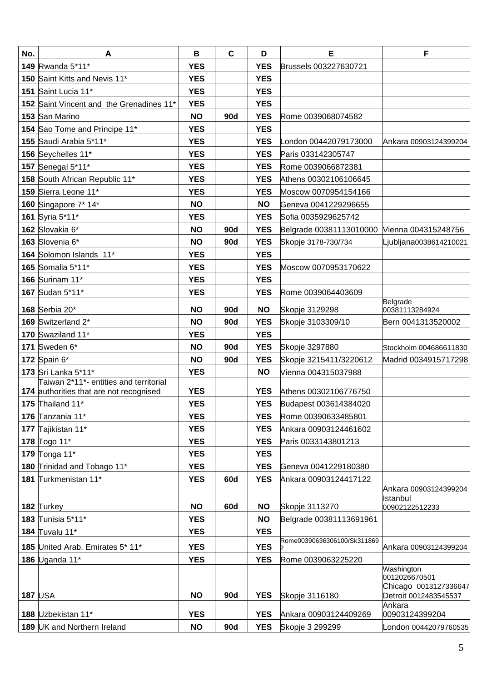| No. | A                                                           | B          | $\mathbf C$ | D                        | Е                                            | F                                              |
|-----|-------------------------------------------------------------|------------|-------------|--------------------------|----------------------------------------------|------------------------------------------------|
|     | 149 Rwanda 5*11*                                            | <b>YES</b> |             | <b>YES</b>               | Brussels 003227630721                        |                                                |
|     | 150 Saint Kitts and Nevis 11*                               | <b>YES</b> |             | <b>YES</b>               |                                              |                                                |
|     | 151 Saint Lucia 11*                                         | <b>YES</b> |             | <b>YES</b>               |                                              |                                                |
|     | 152 Saint Vincent and the Grenadines 11*                    | <b>YES</b> |             | <b>YES</b>               |                                              |                                                |
|     | 153 San Marino                                              | <b>NO</b>  | <b>90d</b>  | <b>YES</b>               | Rome 0039068074582                           |                                                |
|     | 154 Sao Tome and Principe 11*                               | <b>YES</b> |             | <b>YES</b>               |                                              |                                                |
|     | 155 Saudi Arabia 5*11*                                      | <b>YES</b> |             | <b>YES</b>               | ondon 00442079173000                         | Ankara 00903124399204                          |
|     | 156 Seychelles 11*                                          | <b>YES</b> |             | <b>YES</b>               | Paris 033142305747                           |                                                |
|     | 157 Senegal 5*11*                                           | <b>YES</b> |             | <b>YES</b>               | Rome 0039066872381                           |                                                |
|     | 158 South African Republic 11*                              | <b>YES</b> |             | <b>YES</b>               | Athens 00302106106645                        |                                                |
|     | 159 Sierra Leone 11*                                        | <b>YES</b> |             | <b>YES</b>               | Moscow 0070954154166                         |                                                |
|     | 160 Singapore 7* 14*                                        | <b>NO</b>  |             | <b>NO</b>                | Geneva 0041229296655                         |                                                |
|     | 161 Syria 5*11*                                             | <b>YES</b> |             | <b>YES</b>               | Sofia 0035929625742                          |                                                |
|     | 162 Slovakia 6*                                             | <b>NO</b>  | <b>90d</b>  | <b>YES</b>               | Belgrade 00381113010000 Vienna 004315248756  |                                                |
|     | 163 Slovenia 6*                                             | <b>NO</b>  | <b>90d</b>  | <b>YES</b>               | Skopje 3178-730/734                          | Ljubljana0038614210021                         |
|     | 164 Solomon Islands 11*                                     | <b>YES</b> |             | <b>YES</b>               |                                              |                                                |
|     | 165 Somalia 5*11*                                           | <b>YES</b> |             | <b>YES</b>               | Moscow 0070953170622                         |                                                |
|     | 166 Surinam 11*                                             | <b>YES</b> |             | <b>YES</b>               |                                              |                                                |
|     | 167 Sudan 5*11*                                             | <b>YES</b> |             | <b>YES</b>               | Rome 0039064403609                           |                                                |
|     | 168 Serbia 20*                                              | <b>NO</b>  | <b>90d</b>  | <b>NO</b>                | Skopje 3129298                               | Belgrade<br>00381113284924                     |
|     | 169 Switzerland 2*                                          | <b>NO</b>  | <b>90d</b>  | <b>YES</b>               | Skopje 3103309/10                            | Bern 0041313520002                             |
|     | 170 Swaziland 11*                                           | <b>YES</b> |             | <b>YES</b>               |                                              |                                                |
|     | 171 Sweden 6*                                               | <b>NO</b>  | <b>90d</b>  | <b>YES</b>               | Skopje 3297880                               | Stockholm 004686611830                         |
|     | 172 Spain 6*                                                | <b>NO</b>  | <b>90d</b>  | <b>YES</b>               | Skopje 3215411/3220612                       | Madrid 0034915717298                           |
|     | 173 Sri Lanka 5*11*                                         | <b>YES</b> |             | <b>NO</b>                | Vienna 004315037988                          |                                                |
|     | Taiwan 2*11*- entities and territorial                      | <b>YES</b> |             | <b>YES</b>               | Athens 00302106776750                        |                                                |
|     | 174 authorities that are not recognised<br>175 Thailand 11* | <b>YES</b> |             | <b>YES</b>               |                                              |                                                |
|     | 176 Tanzania 11*                                            | <b>YES</b> |             | <b>YES</b>               | Budapest 003614384020<br>Rome 00390633485801 |                                                |
|     |                                                             | <b>YES</b> |             | <b>YES</b>               |                                              |                                                |
|     | 177 Tajikistan 11*<br>178 Togo 11*                          | <b>YES</b> |             | <b>YES</b>               | Ankara 00903124461602                        |                                                |
|     | 179 Tonga 11*                                               | <b>YES</b> |             |                          | Paris 0033143801213                          |                                                |
|     | 180 Trinidad and Tobago 11*                                 | <b>YES</b> |             | <b>YES</b><br><b>YES</b> | Geneva 0041229180380                         |                                                |
|     | 181 Turkmenistan 11*                                        | <b>YES</b> | 60d         | <b>YES</b>               | Ankara 00903124417122                        |                                                |
|     |                                                             |            |             |                          |                                              | Ankara 00903124399204                          |
|     |                                                             |            |             |                          |                                              | Istanbul                                       |
|     | 182 Turkey                                                  | <b>NO</b>  | 60d         | <b>NO</b>                | <b>Skopje 3113270</b>                        | 00902122512233                                 |
|     | 183 Tunisia 5*11*                                           | <b>YES</b> |             | <b>NO</b>                | Belgrade 00381113691961                      |                                                |
|     | 184 Tuvalu 11*                                              | <b>YES</b> |             | <b>YES</b>               | Rome00390636306100/Sk311869                  |                                                |
|     | 185 United Arab. Emirates 5* 11*                            | <b>YES</b> |             | <b>YES</b>               |                                              | Ankara 00903124399204                          |
|     | 186 Uganda 11*                                              | <b>YES</b> |             | <b>YES</b>               | Rome 0039063225220                           | Washington                                     |
|     |                                                             |            |             |                          |                                              | 0012026670501                                  |
|     | <b>187 USA</b>                                              | <b>NO</b>  | <b>90d</b>  | <b>YES</b>               | Skopje 3116180                               | Chicago 0013127336647<br>Detroit 0012483545537 |
|     |                                                             |            |             |                          |                                              | Ankara                                         |
|     | 188 Uzbekistan 11*                                          | <b>YES</b> |             | <b>YES</b>               | Ankara 00903124409269                        | 00903124399204                                 |
|     | 189 UK and Northern Ireland                                 | <b>NO</b>  | <b>90d</b>  | <b>YES</b>               | Skopje 3 299299                              | London 00442079760535                          |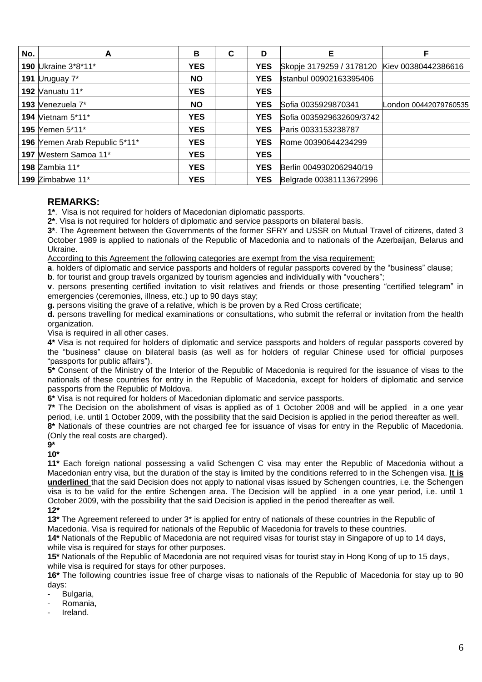| No. | A                             | В          | C | D          | Е                                            | F                     |
|-----|-------------------------------|------------|---|------------|----------------------------------------------|-----------------------|
|     | 190 Ukraine 3*8*11*           | <b>YES</b> |   | <b>YES</b> | Skopje 3179259 / 3178120 Kiev 00380442386616 |                       |
|     | 191 $Uruguay 7*$              | <b>NO</b>  |   | <b>YES</b> | Istanbul 00902163395406                      |                       |
|     | 192 Vanuatu 11*               | <b>YES</b> |   | <b>YES</b> |                                              |                       |
|     | 193 Venezuela 7*              | <b>NO</b>  |   | <b>YES</b> | Sofia 0035929870341                          | London 00442079760535 |
|     | <b>194 Vietnam 5*11*</b>      | <b>YES</b> |   | <b>YES</b> | Sofia 0035929632609/3742                     |                       |
|     | 195 Yemen 5*11*               | <b>YES</b> |   | <b>YES</b> | Paris 0033153238787                          |                       |
|     | 196 Yemen Arab Republic 5*11* | <b>YES</b> |   | <b>YES</b> | Rome 00390644234299                          |                       |
|     | 197 Western Samoa 11*         | <b>YES</b> |   | <b>YES</b> |                                              |                       |
|     | <b>198 Zambia 11*</b>         | <b>YES</b> |   | <b>YES</b> | Berlin 0049302062940/19                      |                       |
|     | 199 Zimbabwe 11*              | <b>YES</b> |   | <b>YES</b> | Belgrade 00381113672996                      |                       |

# **REMARKS:**

**1\***.Visa is not required for holders of Macedonian diplomatic passports.

**2\***. Visa is not required for holders of diplomatic and service passports on bilateral basis.

**3\***. The Agreement between the Governments of the former SFRY and USSR on Mutual Travel of citizens, dated 3 October 1989 is applied to nationals of the Republic of Macedonia and to nationals of the Azerbaijan, Belarus and Ukraine.

According to this Agreement the following categories are exempt from the visa requirement:

**a**. holders of diplomatic and service passports and holders of regular passports covered by the "business" clause;

**b**. for tourist and group travels organized by tourism agencies and individually with "vouchers";

**v**. persons presenting certified invitation to visit relatives and friends or those presenting "certified telegram" in emergencies (ceremonies, illness, etc.) up to 90 days stay;

**g.** persons visiting the grave of a relative, which is be proven by a Red Cross certificate;

**d.** persons travelling for medical examinations or consultations, who submit the referral or invitation from the health organization.

Visa is required in all other cases.

**4\*** Visa is not required for holders of diplomatic and service passports and holders of regular passports covered by the "business" clause on bilateral basis (as well as for holders of regular Chinese used for official purposes "passports for public affairs").

**5\*** Consent of the Ministry of the Interior of the Republic of Macedonia is required for the issuance of visas to the nationals of these countries for entry in the Republic of Macedonia, except for holders of diplomatic and service passports from the Republic of Moldova.

**6\*** Visa is not required for holders of Macedonian diplomatic and service passports.

**7\*** The Decision on the abolishment of visas is applied as of 1 October 2008 and will be applied in a one year period, i.e. until 1 October 2009, with the possibility that the said Decision is applied in the period thereafter as well.

**8\*** Nationals of these countries are not charged fee for issuance of visas for entry in the Republic of Macedonia. (Only the real costs are charged).

**9\*** 

**10\***

**11\*** Each foreign national possessing a valid Schengen C visa may enter the Republic of Macedonia without a Macedonian entry visa, but the duration of the stay is limited by the conditions referred to in the Schengen visa. **It is underlined** that the said Decision does not apply to national visas issued by Schengen countries, i.e. the Schengen visa is to be valid for the entire Schengen area. The Decision will be applied in a one year period, i.e. until 1 October 2009, with the possibility that the said Decision is applied in the period thereafter as well. **12\***

**13\*** The Agreement refereed to under 3\* is applied for entry of nationals of these countries in the Republic of Macedonia. Visa is required for nationals of the Republic of Macedonia for travels to these countries.

**14\*** Nationals of the Republic of Macedonia are not required visas for tourist stay in Singapore of up to 14 days, while visa is required for stays for other purposes.

**15\*** Nationals of the Republic of Macedonia are not required visas for tourist stay in Hong Kong of up to 15 days, while visa is required for stays for other purposes.

**16\*** The following countries issue free of charge visas to nationals of the Republic of Macedonia for stay up to 90 days:

- Bulgaria,
- Romania,
- Ireland.